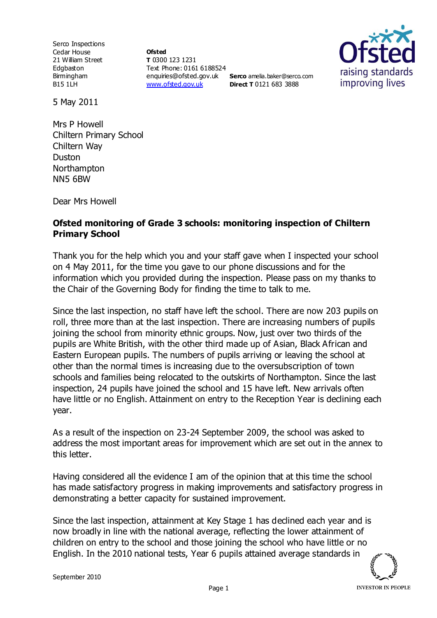Serco Inspections Cedar House 21 William Street Edgbaston Birmingham B15 1LH

**Ofsted T** 0300 123 1231 Text Phone: 0161 6188524 enquiries@ofsted.gov.uk **Serco** amelia.baker@serco.com [www.ofsted.gov.uk](http://www.ofsted.gov.uk/)



5 May 2011

Mrs P Howell Chiltern Primary School Chiltern Way Duston Northampton NN5 6BW

Dear Mrs Howell

## **Ofsted monitoring of Grade 3 schools: monitoring inspection of Chiltern Primary School**

**Direct T** 0121 683 3888

Thank you for the help which you and your staff gave when I inspected your school on 4 May 2011, for the time you gave to our phone discussions and for the information which you provided during the inspection. Please pass on my thanks to the Chair of the Governing Body for finding the time to talk to me.

Since the last inspection, no staff have left the school. There are now 203 pupils on roll, three more than at the last inspection. There are increasing numbers of pupils joining the school from minority ethnic groups. Now, just over two thirds of the pupils are White British, with the other third made up of Asian, Black African and Eastern European pupils. The numbers of pupils arriving or leaving the school at other than the normal times is increasing due to the oversubscription of town schools and families being relocated to the outskirts of Northampton. Since the last inspection, 24 pupils have joined the school and 15 have left. New arrivals often have little or no English. Attainment on entry to the Reception Year is declining each year.

As a result of the inspection on 23-24 September 2009, the school was asked to address the most important areas for improvement which are set out in the annex to this letter.

Having considered all the evidence I am of the opinion that at this time the school has made satisfactory progress in making improvements and satisfactory progress in demonstrating a better capacity for sustained improvement.

Since the last inspection, attainment at Key Stage 1 has declined each year and is now broadly in line with the national average, reflecting the lower attainment of children on entry to the school and those joining the school who have little or no English. In the 2010 national tests, Year 6 pupils attained average standards in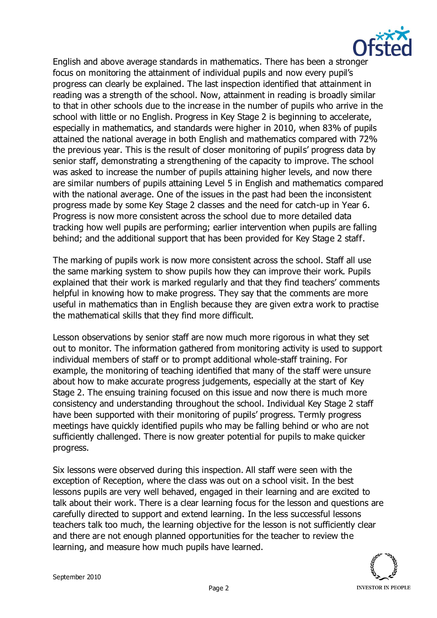

English and above average standards in mathematics. There has been a stronger focus on monitoring the attainment of individual pupils and now every pupil's progress can clearly be explained. The last inspection identified that attainment in reading was a strength of the school. Now, attainment in reading is broadly similar to that in other schools due to the increase in the number of pupils who arrive in the school with little or no English. Progress in Key Stage 2 is beginning to accelerate, especially in mathematics, and standards were higher in 2010, when 83% of pupils attained the national average in both English and mathematics compared with 72% the previous year. This is the result of closer monitoring of pupils' progress data by senior staff, demonstrating a strengthening of the capacity to improve. The school was asked to increase the number of pupils attaining higher levels, and now there are similar numbers of pupils attaining Level 5 in English and mathematics compared with the national average. One of the issues in the past had been the inconsistent progress made by some Key Stage 2 classes and the need for catch-up in Year 6. Progress is now more consistent across the school due to more detailed data tracking how well pupils are performing; earlier intervention when pupils are falling behind; and the additional support that has been provided for Key Stage 2 staff.

The marking of pupils work is now more consistent across the school. Staff all use the same marking system to show pupils how they can improve their work. Pupils explained that their work is marked regularly and that they find teachers' comments helpful in knowing how to make progress. They say that the comments are more useful in mathematics than in English because they are given extra work to practise the mathematical skills that they find more difficult.

Lesson observations by senior staff are now much more rigorous in what they set out to monitor. The information gathered from monitoring activity is used to support individual members of staff or to prompt additional whole-staff training. For example, the monitoring of teaching identified that many of the staff were unsure about how to make accurate progress judgements, especially at the start of Key Stage 2. The ensuing training focused on this issue and now there is much more consistency and understanding throughout the school. Individual Key Stage 2 staff have been supported with their monitoring of pupils' progress. Termly progress meetings have quickly identified pupils who may be falling behind or who are not sufficiently challenged. There is now greater potential for pupils to make quicker progress.

Six lessons were observed during this inspection. All staff were seen with the exception of Reception, where the class was out on a school visit. In the best lessons pupils are very well behaved, engaged in their learning and are excited to talk about their work. There is a clear learning focus for the lesson and questions are carefully directed to support and extend learning. In the less successful lessons teachers talk too much, the learning objective for the lesson is not sufficiently clear and there are not enough planned opportunities for the teacher to review the learning, and measure how much pupils have learned.

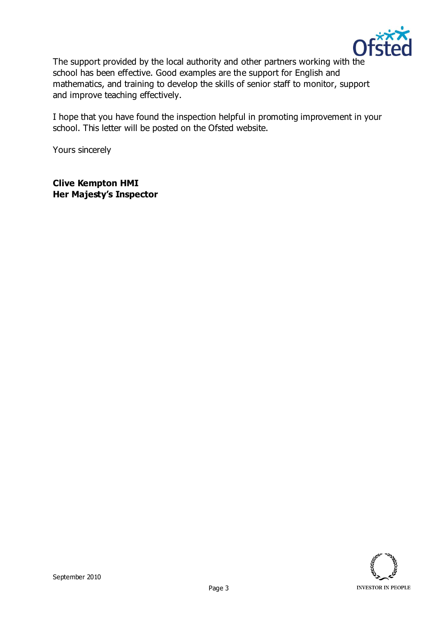

The support provided by the local authority and other partners working with the school has been effective. Good examples are the support for English and mathematics, and training to develop the skills of senior staff to monitor, support and improve teaching effectively.

I hope that you have found the inspection helpful in promoting improvement in your school. This letter will be posted on the Ofsted website.

Yours sincerely

**Clive Kempton HMI Her Majesty's Inspector**